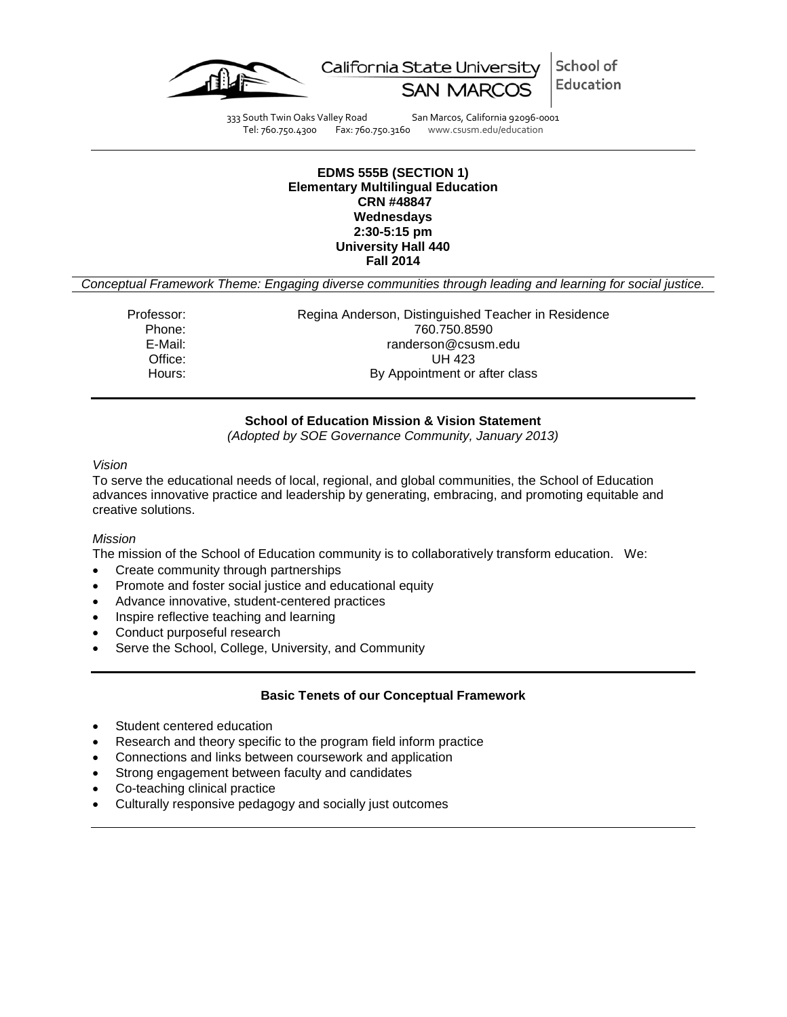

School of California State University Education

333 South Twin Oaks Valley Road San Marcos, California 92096-0001 Tel: 760.750.4300 Fax: 760.750.3160 www.csusm.edu/education

#### **EDMS 555B (SECTION 1) Elementary Multilingual Education CRN #48847 Wednesdays 2:30-5:15 pm University Hall 440 Fall 2014**

*Conceptual Framework Theme: Engaging diverse communities through leading and learning for social justice.*

Professor: Regina Anderson, Distinguished Teacher in Residence Phone: 760.750.8590 E-Mail: E-Mail: randerson@csusm.edu<br>Office: UH 423 **UH 423** Hours: By Appointment or after class

## **School of Education Mission & Vision Statement**

*(Adopted by SOE Governance Community, January 2013)*

*Vision*

To serve the educational needs of local, regional, and global communities, the School of Education advances innovative practice and leadership by generating, embracing, and promoting equitable and creative solutions.

#### *Mission*

The mission of the School of Education community is to collaboratively transform education. We:

- Create community through partnerships
- Promote and foster social justice and educational equity
- Advance innovative, student-centered practices
- Inspire reflective teaching and learning
- Conduct purposeful research
- Serve the School, College, University, and Community

## **Basic Tenets of our Conceptual Framework**

- Student centered education
- Research and theory specific to the program field inform practice
- Connections and links between coursework and application
- Strong engagement between faculty and candidates
- Co-teaching clinical practice
- Culturally responsive pedagogy and socially just outcomes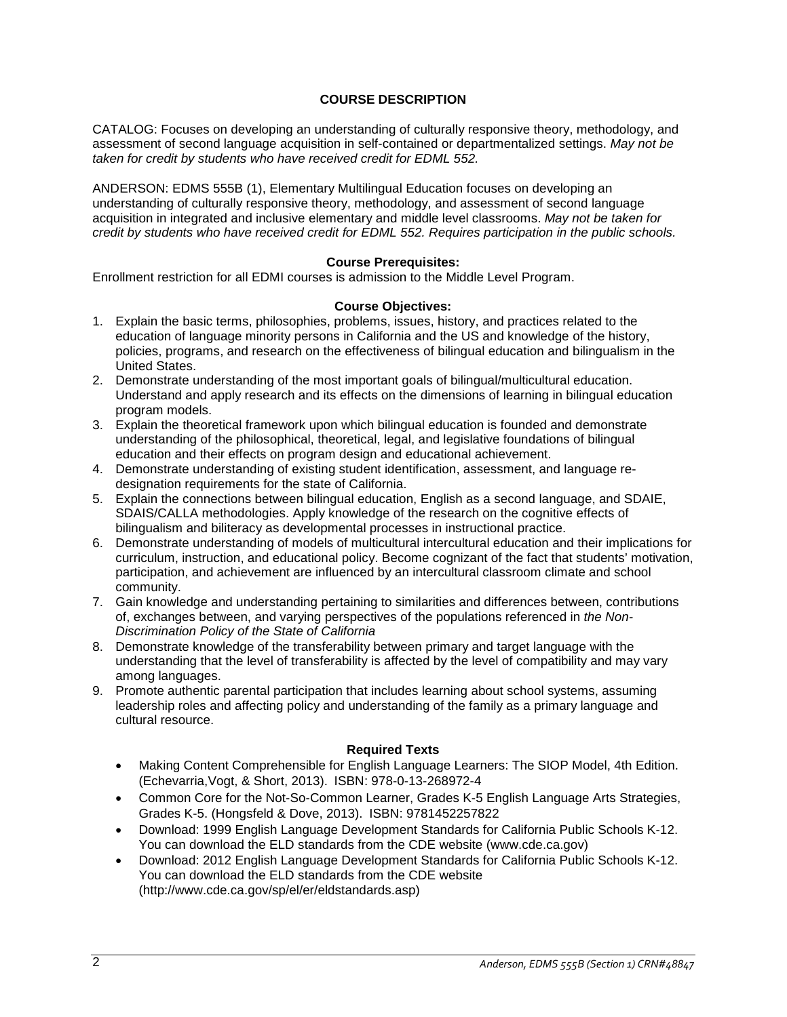# **COURSE DESCRIPTION**

CATALOG: Focuses on developing an understanding of culturally responsive theory, methodology, and assessment of second language acquisition in self-contained or departmentalized settings. *May not be taken for credit by students who have received credit for EDML 552.*

ANDERSON: EDMS 555B (1), Elementary Multilingual Education focuses on developing an understanding of culturally responsive theory, methodology, and assessment of second language acquisition in integrated and inclusive elementary and middle level classrooms. *May not be taken for credit by students who have received credit for EDML 552. Requires participation in the public schools.*

## **Course Prerequisites:**

Enrollment restriction for all EDMI courses is admission to the Middle Level Program.

#### **Course Objectives:**

- 1. Explain the basic terms, philosophies, problems, issues, history, and practices related to the education of language minority persons in California and the US and knowledge of the history, policies, programs, and research on the effectiveness of bilingual education and bilingualism in the United States.
- 2. Demonstrate understanding of the most important goals of bilingual/multicultural education. Understand and apply research and its effects on the dimensions of learning in bilingual education program models.
- 3. Explain the theoretical framework upon which bilingual education is founded and demonstrate understanding of the philosophical, theoretical, legal, and legislative foundations of bilingual education and their effects on program design and educational achievement.
- 4. Demonstrate understanding of existing student identification, assessment, and language redesignation requirements for the state of California.
- 5. Explain the connections between bilingual education, English as a second language, and SDAIE, SDAIS/CALLA methodologies. Apply knowledge of the research on the cognitive effects of bilingualism and biliteracy as developmental processes in instructional practice.
- 6. Demonstrate understanding of models of multicultural intercultural education and their implications for curriculum, instruction, and educational policy. Become cognizant of the fact that students' motivation, participation, and achievement are influenced by an intercultural classroom climate and school community.
- 7. Gain knowledge and understanding pertaining to similarities and differences between, contributions of, exchanges between, and varying perspectives of the populations referenced in *the Non-Discrimination Policy of the State of California*
- 8. Demonstrate knowledge of the transferability between primary and target language with the understanding that the level of transferability is affected by the level of compatibility and may vary among languages.
- 9. Promote authentic parental participation that includes learning about school systems, assuming leadership roles and affecting policy and understanding of the family as a primary language and cultural resource.

#### **Required Texts**

- Making Content Comprehensible for English Language Learners: The SIOP Model, 4th Edition. (Echevarria,Vogt, & Short, 2013). ISBN: 978-0-13-268972-4
- Common Core for the Not-So-Common Learner, Grades K-5 English Language Arts Strategies, Grades K-5. (Hongsfeld & Dove, 2013). ISBN: 9781452257822
- Download: 1999 English Language Development Standards for California Public Schools K-12. You can download the ELD standards from the CDE website (www.cde.ca.gov)
- Download: 2012 English Language Development Standards for California Public Schools K-12. You can download the ELD standards from the CDE website (http://www.cde.ca.gov/sp/el/er/eldstandards.asp)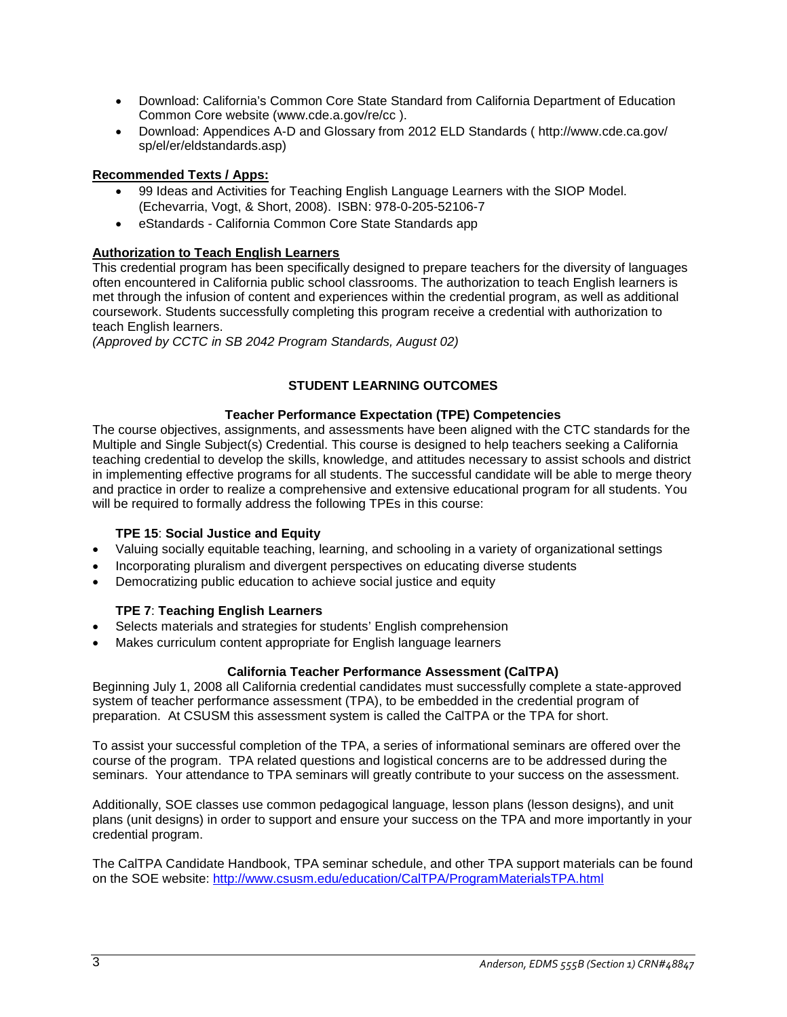- Download: California's Common Core State Standard from California Department of Education Common Core website (www.cde.a.gov/re/cc ).
- Download: Appendices A-D and Glossary from 2012 ELD Standards ( http://www.cde.ca.gov/ sp/el/er/eldstandards.asp)

# **Recommended Texts / Apps:**

- 99 Ideas and Activities for Teaching English Language Learners with the SIOP Model. (Echevarria, Vogt, & Short, 2008). ISBN: 978-0-205-52106-7
- eStandards California Common Core State Standards app

# **Authorization to Teach English Learners**

This credential program has been specifically designed to prepare teachers for the diversity of languages often encountered in California public school classrooms. The authorization to teach English learners is met through the infusion of content and experiences within the credential program, as well as additional coursework. Students successfully completing this program receive a credential with authorization to teach English learners.

*(Approved by CCTC in SB 2042 Program Standards, August 02)*

# **STUDENT LEARNING OUTCOMES**

# **Teacher Performance Expectation (TPE) Competencies**

The course objectives, assignments, and assessments have been aligned with the CTC standards for the Multiple and Single Subject(s) Credential. This course is designed to help teachers seeking a California teaching credential to develop the skills, knowledge, and attitudes necessary to assist schools and district in implementing effective programs for all students. The successful candidate will be able to merge theory and practice in order to realize a comprehensive and extensive educational program for all students. You will be required to formally address the following TPEs in this course:

## **TPE 15**: **Social Justice and Equity**

- Valuing socially equitable teaching, learning, and schooling in a variety of organizational settings
- Incorporating pluralism and divergent perspectives on educating diverse students
- Democratizing public education to achieve social justice and equity

# **TPE 7**: **Teaching English Learners**

- Selects materials and strategies for students' English comprehension
- Makes curriculum content appropriate for English language learners

# **California Teacher Performance Assessment (CalTPA)**

Beginning July 1, 2008 all California credential candidates must successfully complete a state-approved system of teacher performance assessment (TPA), to be embedded in the credential program of preparation. At CSUSM this assessment system is called the CalTPA or the TPA for short.

To assist your successful completion of the TPA, a series of informational seminars are offered over the course of the program. TPA related questions and logistical concerns are to be addressed during the seminars. Your attendance to TPA seminars will greatly contribute to your success on the assessment.

Additionally, SOE classes use common pedagogical language, lesson plans (lesson designs), and unit plans (unit designs) in order to support and ensure your success on the TPA and more importantly in your credential program.

The CalTPA Candidate Handbook, TPA seminar schedule, and other TPA support materials can be found on the SOE website:<http://www.csusm.edu/education/CalTPA/ProgramMaterialsTPA.html>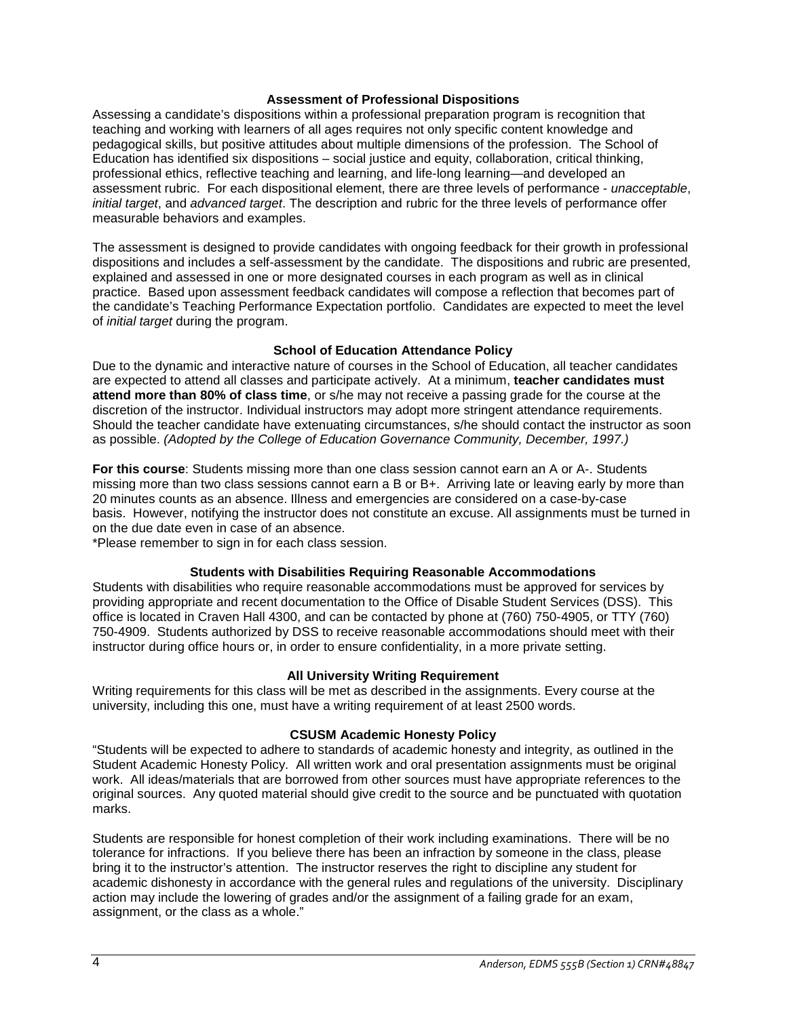#### **Assessment of Professional Dispositions**

Assessing a candidate's dispositions within a professional preparation program is recognition that teaching and working with learners of all ages requires not only specific content knowledge and pedagogical skills, but positive attitudes about multiple dimensions of the profession. The School of Education has identified six dispositions – social justice and equity, collaboration, critical thinking, professional ethics, reflective teaching and learning, and life-long learning—and developed an assessment rubric. For each dispositional element, there are three levels of performance - *unacceptable*, *initial target*, and *advanced target*. The description and rubric for the three levels of performance offer measurable behaviors and examples.

The assessment is designed to provide candidates with ongoing feedback for their growth in professional dispositions and includes a self-assessment by the candidate. The dispositions and rubric are presented, explained and assessed in one or more designated courses in each program as well as in clinical practice. Based upon assessment feedback candidates will compose a reflection that becomes part of the candidate's Teaching Performance Expectation portfolio. Candidates are expected to meet the level of *initial target* during the program.

#### **School of Education Attendance Policy**

Due to the dynamic and interactive nature of courses in the School of Education, all teacher candidates are expected to attend all classes and participate actively. At a minimum, **teacher candidates must attend more than 80% of class time**, or s/he may not receive a passing grade for the course at the discretion of the instructor. Individual instructors may adopt more stringent attendance requirements. Should the teacher candidate have extenuating circumstances, s/he should contact the instructor as soon as possible. *(Adopted by the College of Education Governance Community, December, 1997.)*

**For this course**: Students missing more than one class session cannot earn an A or A-. Students missing more than two class sessions cannot earn a B or B+. Arriving late or leaving early by more than 20 minutes counts as an absence. Illness and emergencies are considered on a case-by-case basis. However, notifying the instructor does not constitute an excuse. All assignments must be turned in on the due date even in case of an absence.

\*Please remember to sign in for each class session.

## **Students with Disabilities Requiring Reasonable Accommodations**

Students with disabilities who require reasonable accommodations must be approved for services by providing appropriate and recent documentation to the Office of Disable Student Services (DSS). This office is located in Craven Hall 4300, and can be contacted by phone at (760) 750-4905, or TTY (760) 750-4909. Students authorized by DSS to receive reasonable accommodations should meet with their instructor during office hours or, in order to ensure confidentiality, in a more private setting.

## **All University Writing Requirement**

Writing requirements for this class will be met as described in the assignments. Every course at the university, including this one, must have a writing requirement of at least 2500 words.

## **CSUSM Academic Honesty Policy**

"Students will be expected to adhere to standards of academic honesty and integrity, as outlined in the Student Academic Honesty Policy. All written work and oral presentation assignments must be original work. All ideas/materials that are borrowed from other sources must have appropriate references to the original sources. Any quoted material should give credit to the source and be punctuated with quotation marks.

Students are responsible for honest completion of their work including examinations. There will be no tolerance for infractions. If you believe there has been an infraction by someone in the class, please bring it to the instructor's attention. The instructor reserves the right to discipline any student for academic dishonesty in accordance with the general rules and regulations of the university. Disciplinary action may include the lowering of grades and/or the assignment of a failing grade for an exam, assignment, or the class as a whole."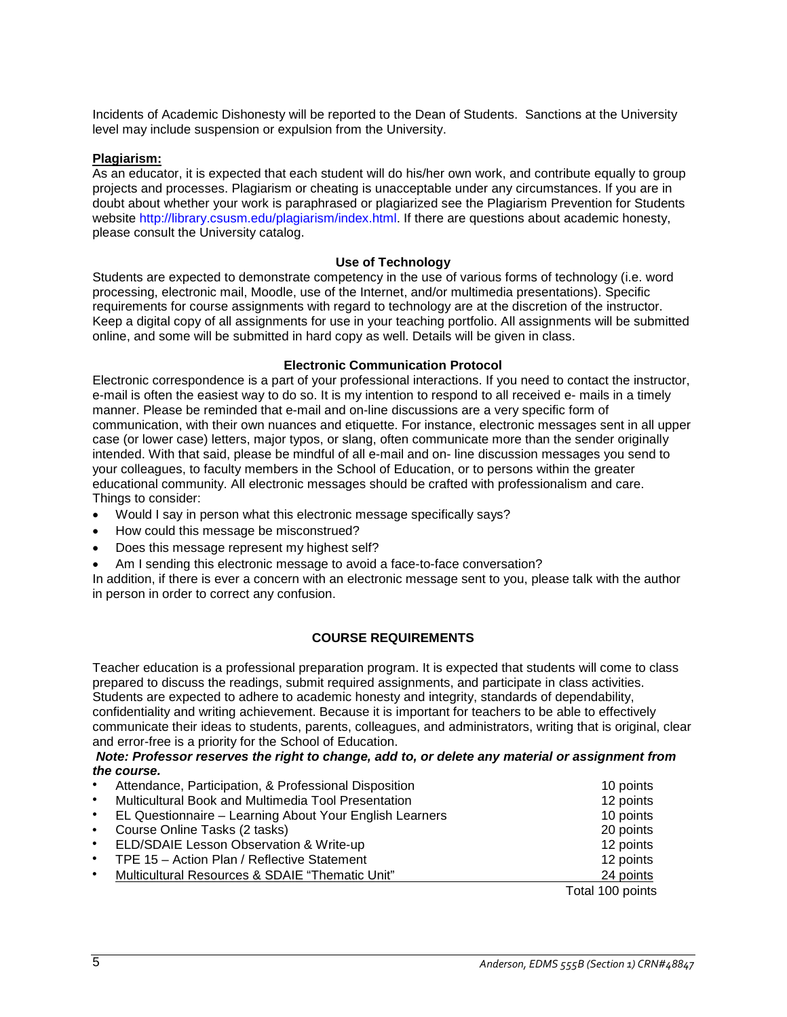Incidents of Academic Dishonesty will be reported to the Dean of Students. Sanctions at the University level may include suspension or expulsion from the University.

#### **Plagiarism:**

As an educator, it is expected that each student will do his/her own work, and contribute equally to group projects and processes. Plagiarism or cheating is unacceptable under any circumstances. If you are in doubt about whether your work is paraphrased or plagiarized see the Plagiarism Prevention for Students website http://library.csusm.edu/plagiarism/index.html. If there are questions about academic honesty, please consult the University catalog.

#### **Use of Technology**

Students are expected to demonstrate competency in the use of various forms of technology (i.e. word processing, electronic mail, Moodle, use of the Internet, and/or multimedia presentations). Specific requirements for course assignments with regard to technology are at the discretion of the instructor. Keep a digital copy of all assignments for use in your teaching portfolio. All assignments will be submitted online, and some will be submitted in hard copy as well. Details will be given in class.

#### **Electronic Communication Protocol**

Electronic correspondence is a part of your professional interactions. If you need to contact the instructor, e-mail is often the easiest way to do so. It is my intention to respond to all received e- mails in a timely manner. Please be reminded that e-mail and on-line discussions are a very specific form of communication, with their own nuances and etiquette. For instance, electronic messages sent in all upper case (or lower case) letters, major typos, or slang, often communicate more than the sender originally intended. With that said, please be mindful of all e-mail and on- line discussion messages you send to your colleagues, to faculty members in the School of Education, or to persons within the greater educational community. All electronic messages should be crafted with professionalism and care. Things to consider:

- Would I say in person what this electronic message specifically says?
- How could this message be misconstrued?
- Does this message represent my highest self?
- Am I sending this electronic message to avoid a face-to-face conversation?

In addition, if there is ever a concern with an electronic message sent to you, please talk with the author in person in order to correct any confusion.

## **COURSE REQUIREMENTS**

Teacher education is a professional preparation program. It is expected that students will come to class prepared to discuss the readings, submit required assignments, and participate in class activities. Students are expected to adhere to academic honesty and integrity, standards of dependability, confidentiality and writing achievement. Because it is important for teachers to be able to effectively communicate their ideas to students, parents, colleagues, and administrators, writing that is original, clear and error-free is a priority for the School of Education.

#### *Note: Professor reserves the right to change, add to, or delete any material or assignment from the course.*

| 10 points        |
|------------------|
| 12 points        |
| 10 points        |
| 20 points        |
| 12 points        |
| 12 points        |
| 24 points        |
| Total 100 points |
|                  |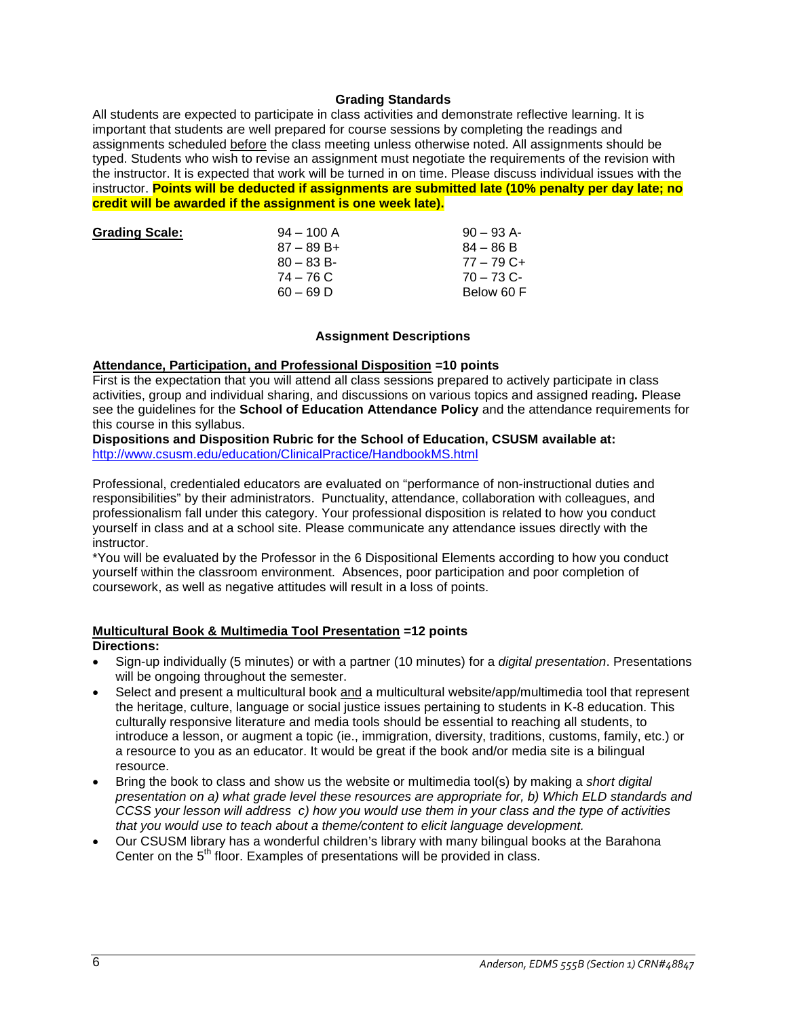#### **Grading Standards**

All students are expected to participate in class activities and demonstrate reflective learning. It is important that students are well prepared for course sessions by completing the readings and assignments scheduled before the class meeting unless otherwise noted. All assignments should be typed. Students who wish to revise an assignment must negotiate the requirements of the revision with the instructor. It is expected that work will be turned in on time. Please discuss individual issues with the instructor. **Points will be deducted if assignments are submitted late (10% penalty per day late; no credit will be awarded if the assignment is one week late).**

| <b>Grading Scale:</b> | $94 - 100$ A | $90 - 93$ A- |
|-----------------------|--------------|--------------|
|                       | $87 - 89B +$ | $84 - 86 B$  |
|                       | $80 - 83 B$  | $77 - 79$ C+ |
|                       | 74 – 76 C    | $70 - 73$ C- |
|                       | $60 - 69$ D  | Below 60 F   |
|                       |              |              |

#### **Assignment Descriptions**

#### **Attendance, Participation, and Professional Disposition =10 points**

First is the expectation that you will attend all class sessions prepared to actively participate in class activities, group and individual sharing, and discussions on various topics and assigned reading**.** Please see the guidelines for the **School of Education Attendance Policy** and the attendance requirements for this course in this syllabus.

#### **Dispositions and Disposition Rubric for the School of Education, CSUSM available at:** <http://www.csusm.edu/education/ClinicalPractice/HandbookMS.html>

Professional, credentialed educators are evaluated on "performance of non-instructional duties and responsibilities" by their administrators. Punctuality, attendance, collaboration with colleagues, and professionalism fall under this category. Your professional disposition is related to how you conduct yourself in class and at a school site. Please communicate any attendance issues directly with the instructor.

\*You will be evaluated by the Professor in the 6 Dispositional Elements according to how you conduct yourself within the classroom environment. Absences, poor participation and poor completion of coursework, as well as negative attitudes will result in a loss of points.

## **Multicultural Book & Multimedia Tool Presentation =12 points**

#### **Directions:**

- Sign-up individually (5 minutes) or with a partner (10 minutes) for a *digital presentation*. Presentations will be ongoing throughout the semester.
- Select and present a multicultural book and a multicultural website/app/multimedia tool that represent the heritage, culture, language or social justice issues pertaining to students in K-8 education. This culturally responsive literature and media tools should be essential to reaching all students, to introduce a lesson, or augment a topic (ie., immigration, diversity, traditions, customs, family, etc.) or a resource to you as an educator. It would be great if the book and/or media site is a bilingual resource.
- Bring the book to class and show us the website or multimedia tool(s) by making a *short digital presentation on a) what grade level these resources are appropriate for, b) Which ELD standards and CCSS your lesson will address c) how you would use them in your class and the type of activities that you would use to teach about a theme/content to elicit language development.*
- Our CSUSM library has a wonderful children's library with many bilingual books at the Barahona Center on the 5<sup>th</sup> floor. Examples of presentations will be provided in class.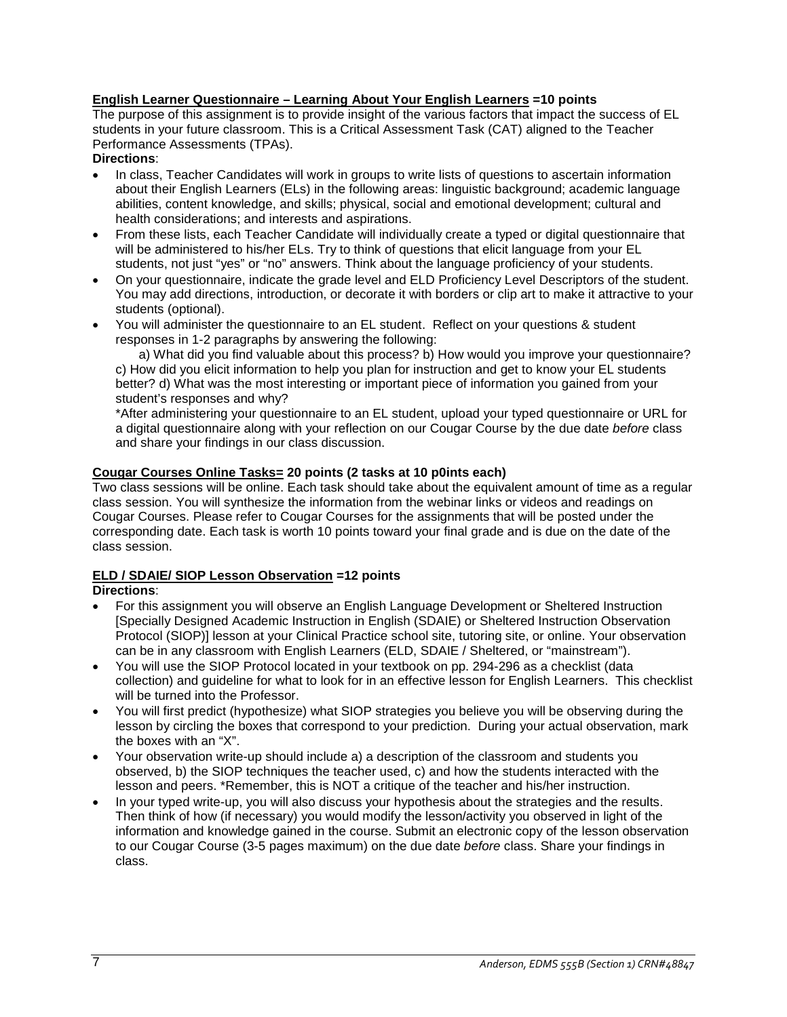# **English Learner Questionnaire – Learning About Your English Learners =10 points**

The purpose of this assignment is to provide insight of the various factors that impact the success of EL students in your future classroom. This is a Critical Assessment Task (CAT) aligned to the Teacher Performance Assessments (TPAs).

## **Directions**:

- In class, Teacher Candidates will work in groups to write lists of questions to ascertain information about their English Learners (ELs) in the following areas: linguistic background; academic language abilities, content knowledge, and skills; physical, social and emotional development; cultural and health considerations; and interests and aspirations.
- From these lists, each Teacher Candidate will individually create a typed or digital questionnaire that will be administered to his/her ELs. Try to think of questions that elicit language from your EL students, not just "yes" or "no" answers. Think about the language proficiency of your students.
- On your questionnaire, indicate the grade level and ELD Proficiency Level Descriptors of the student. You may add directions, introduction, or decorate it with borders or clip art to make it attractive to your students (optional).
- You will administer the questionnaire to an EL student. Reflect on your questions & student responses in 1-2 paragraphs by answering the following:

a) What did you find valuable about this process? b) How would you improve your questionnaire? c) How did you elicit information to help you plan for instruction and get to know your EL students better? d) What was the most interesting or important piece of information you gained from your student's responses and why?

\*After administering your questionnaire to an EL student, upload your typed questionnaire or URL for a digital questionnaire along with your reflection on our Cougar Course by the due date *before* class and share your findings in our class discussion.

# **Cougar Courses Online Tasks= 20 points (2 tasks at 10 p0ints each)**

Two class sessions will be online. Each task should take about the equivalent amount of time as a regular class session. You will synthesize the information from the webinar links or videos and readings on Cougar Courses. Please refer to Cougar Courses for the assignments that will be posted under the corresponding date. Each task is worth 10 points toward your final grade and is due on the date of the class session.

# **ELD / SDAIE/ SIOP Lesson Observation =12 points**

## **Directions**:

- For this assignment you will observe an English Language Development or Sheltered Instruction [Specially Designed Academic Instruction in English (SDAIE) or Sheltered Instruction Observation Protocol (SIOP)] lesson at your Clinical Practice school site, tutoring site, or online. Your observation can be in any classroom with English Learners (ELD, SDAIE / Sheltered, or "mainstream").
- You will use the SIOP Protocol located in your textbook on pp. 294-296 as a checklist (data collection) and guideline for what to look for in an effective lesson for English Learners. This checklist will be turned into the Professor.
- You will first predict (hypothesize) what SIOP strategies you believe you will be observing during the lesson by circling the boxes that correspond to your prediction. During your actual observation, mark the boxes with an "X".
- Your observation write-up should include a) a description of the classroom and students you observed, b) the SIOP techniques the teacher used, c) and how the students interacted with the lesson and peers. \*Remember, this is NOT a critique of the teacher and his/her instruction.
- In your typed write-up, you will also discuss your hypothesis about the strategies and the results. Then think of how (if necessary) you would modify the lesson/activity you observed in light of the information and knowledge gained in the course. Submit an electronic copy of the lesson observation to our Cougar Course (3-5 pages maximum) on the due date *before* class. Share your findings in class.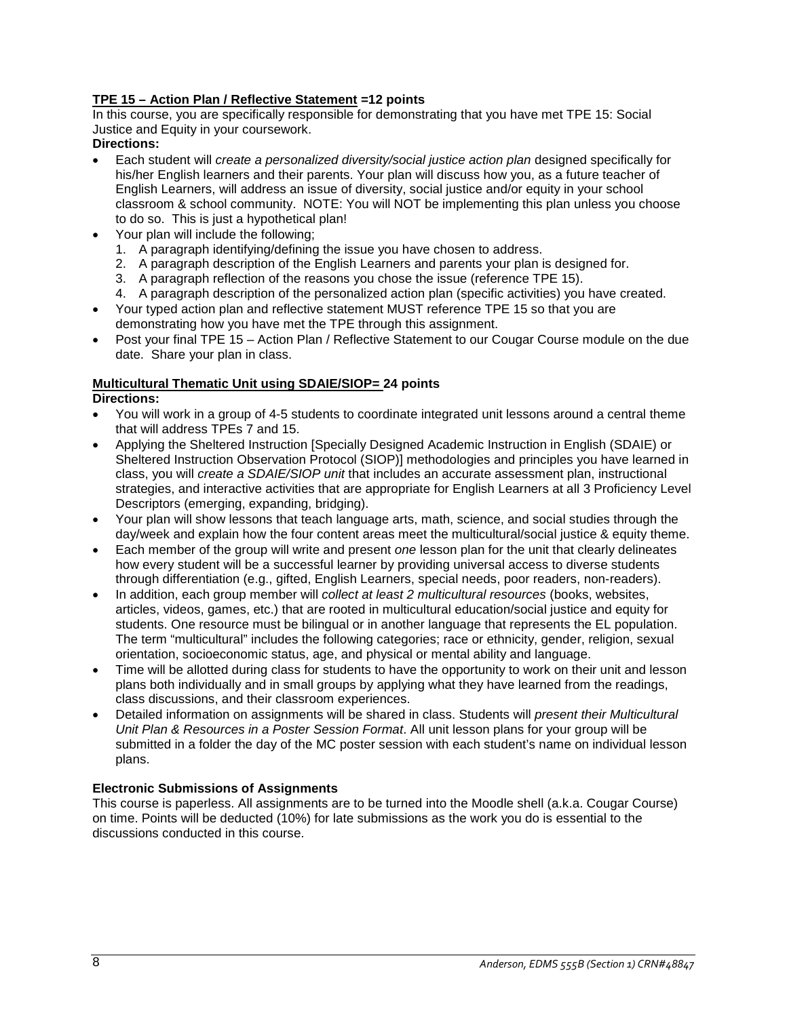# **TPE 15 – Action Plan / Reflective Statement =12 points**

In this course, you are specifically responsible for demonstrating that you have met TPE 15: Social Justice and Equity in your coursework.

## **Directions:**

- Each student will *create a personalized diversity/social justice action plan* designed specifically for his/her English learners and their parents. Your plan will discuss how you, as a future teacher of English Learners, will address an issue of diversity, social justice and/or equity in your school classroom & school community. NOTE: You will NOT be implementing this plan unless you choose to do so. This is just a hypothetical plan!
- Your plan will include the following;
	- 1. A paragraph identifying/defining the issue you have chosen to address.
	- 2. A paragraph description of the English Learners and parents your plan is designed for.
	- 3. A paragraph reflection of the reasons you chose the issue (reference TPE 15).
	- 4. A paragraph description of the personalized action plan (specific activities) you have created.
- Your typed action plan and reflective statement MUST reference TPE 15 so that you are demonstrating how you have met the TPE through this assignment.
- Post your final TPE 15 Action Plan / Reflective Statement to our Cougar Course module on the due date. Share your plan in class.

# **Multicultural Thematic Unit using SDAIE/SIOP= 24 points**

## **Directions:**

- You will work in a group of 4-5 students to coordinate integrated unit lessons around a central theme that will address TPEs 7 and 15.
- Applying the Sheltered Instruction [Specially Designed Academic Instruction in English (SDAIE) or Sheltered Instruction Observation Protocol (SIOP)] methodologies and principles you have learned in class, you will *create a SDAIE/SIOP unit* that includes an accurate assessment plan, instructional strategies, and interactive activities that are appropriate for English Learners at all 3 Proficiency Level Descriptors (emerging, expanding, bridging).
- Your plan will show lessons that teach language arts, math, science, and social studies through the day/week and explain how the four content areas meet the multicultural/social justice & equity theme.
- Each member of the group will write and present *one* lesson plan for the unit that clearly delineates how every student will be a successful learner by providing universal access to diverse students through differentiation (e.g., gifted, English Learners, special needs, poor readers, non-readers).
- In addition, each group member will *collect at least 2 multicultural resources* (books, websites, articles, videos, games, etc.) that are rooted in multicultural education/social justice and equity for students. One resource must be bilingual or in another language that represents the EL population. The term "multicultural" includes the following categories; race or ethnicity, gender, religion, sexual orientation, socioeconomic status, age, and physical or mental ability and language.
- Time will be allotted during class for students to have the opportunity to work on their unit and lesson plans both individually and in small groups by applying what they have learned from the readings, class discussions, and their classroom experiences.
- Detailed information on assignments will be shared in class. Students will *present their Multicultural Unit Plan & Resources in a Poster Session Format*. All unit lesson plans for your group will be submitted in a folder the day of the MC poster session with each student's name on individual lesson plans.

## **Electronic Submissions of Assignments**

This course is paperless. All assignments are to be turned into the Moodle shell (a.k.a. Cougar Course) on time. Points will be deducted (10%) for late submissions as the work you do is essential to the discussions conducted in this course.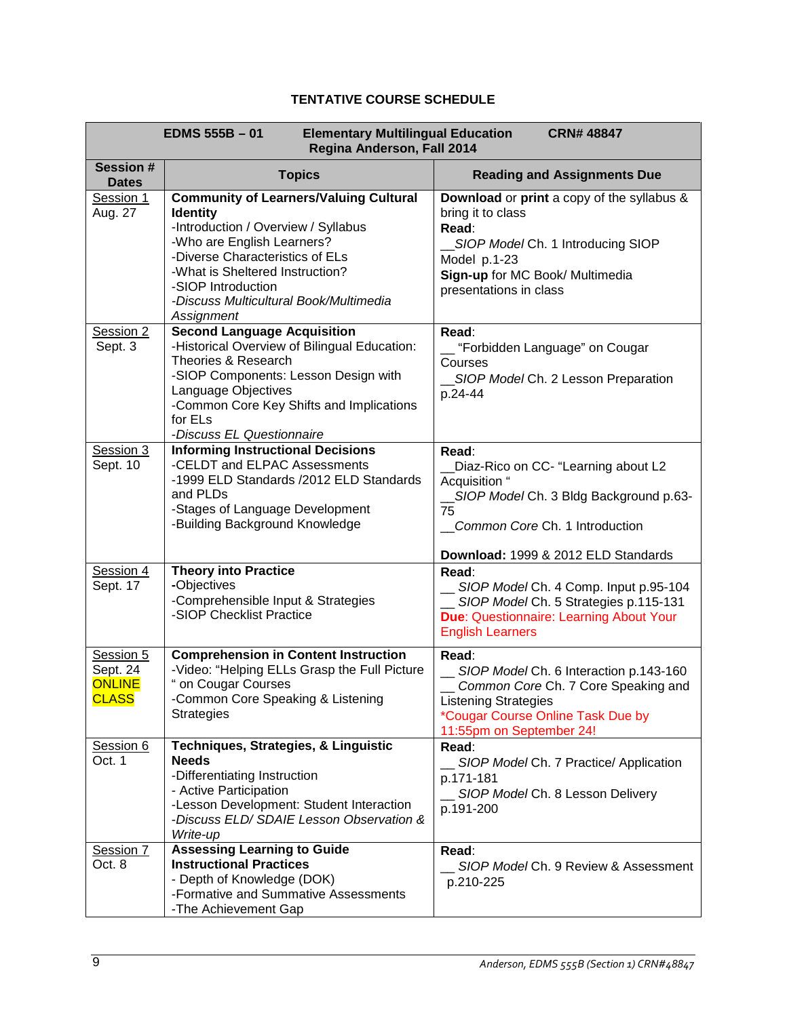# **TENTATIVE COURSE SCHEDULE**

| <b>EDMS 555B - 01</b><br><b>Elementary Multilingual Education</b><br><b>CRN# 48847</b><br>Regina Anderson, Fall 2014 |                                                                                                                                                                                                                                                                                           |                                                                                                                                                                                            |  |  |
|----------------------------------------------------------------------------------------------------------------------|-------------------------------------------------------------------------------------------------------------------------------------------------------------------------------------------------------------------------------------------------------------------------------------------|--------------------------------------------------------------------------------------------------------------------------------------------------------------------------------------------|--|--|
| <b>Session#</b><br><b>Dates</b>                                                                                      | <b>Topics</b>                                                                                                                                                                                                                                                                             | <b>Reading and Assignments Due</b>                                                                                                                                                         |  |  |
| Session 1<br>Aug. 27                                                                                                 | <b>Community of Learners/Valuing Cultural</b><br><b>Identity</b><br>-Introduction / Overview / Syllabus<br>-Who are English Learners?<br>-Diverse Characteristics of ELs<br>-What is Sheltered Instruction?<br>-SIOP Introduction<br>-Discuss Multicultural Book/Multimedia<br>Assignment | Download or print a copy of the syllabus &<br>bring it to class<br>Read:<br>SIOP Model Ch. 1 Introducing SIOP<br>Model p.1-23<br>Sign-up for MC Book/ Multimedia<br>presentations in class |  |  |
| Session 2<br>Sept. 3                                                                                                 | <b>Second Language Acquisition</b><br>-Historical Overview of Bilingual Education:<br>Theories & Research<br>-SIOP Components: Lesson Design with<br>Language Objectives<br>-Common Core Key Shifts and Implications<br>for ELs<br>-Discuss EL Questionnaire                              | Read:<br>_ "Forbidden Language" on Cougar<br>Courses<br>SIOP Model Ch. 2 Lesson Preparation<br>p.24-44                                                                                     |  |  |
| Session 3<br>Sept. 10                                                                                                | <b>Informing Instructional Decisions</b><br>-CELDT and ELPAC Assessments<br>-1999 ELD Standards /2012 ELD Standards<br>and PLDs<br>-Stages of Language Development<br>-Building Background Knowledge                                                                                      | Read:<br>Diaz-Rico on CC- "Learning about L2<br>Acquisition "<br>SIOP Model Ch. 3 Bldg Background p.63-<br>75<br>Common Core Ch. 1 Introduction<br>Download: 1999 & 2012 ELD Standards     |  |  |
| Session 4<br>Sept. 17                                                                                                | <b>Theory into Practice</b><br>-Objectives<br>-Comprehensible Input & Strategies<br>-SIOP Checklist Practice                                                                                                                                                                              | Read:<br>__ SIOP Model Ch. 4 Comp. Input p.95-104<br>__ SIOP Model Ch. 5 Strategies p.115-131<br>Due: Questionnaire: Learning About Your<br><b>English Learners</b>                        |  |  |
| Session 5<br>Sept. 24<br><b>ONLINE</b><br><b>CLASS</b>                                                               | <b>Comprehension in Content Instruction</b><br>-Video: "Helping ELLs Grasp the Full Picture<br>" on Cougar Courses<br>-Common Core Speaking & Listening<br><b>Strategies</b>                                                                                                              | Read:<br>SIOP Model Ch. 6 Interaction p.143-160<br>Common Core Ch. 7 Core Speaking and<br><b>Listening Strategies</b><br>*Cougar Course Online Task Due by<br>11:55pm on September 24!     |  |  |
| Session 6<br>Oct. 1                                                                                                  | Techniques, Strategies, & Linguistic<br><b>Needs</b><br>-Differentiating Instruction<br>- Active Participation<br>-Lesson Development: Student Interaction<br>-Discuss ELD/SDAIE Lesson Observation &<br>Write-up                                                                         | Read:<br>SIOP Model Ch. 7 Practice/ Application<br>p.171-181<br>SIOP Model Ch. 8 Lesson Delivery<br>p.191-200                                                                              |  |  |
| Session 7<br>Oct. 8                                                                                                  | <b>Assessing Learning to Guide</b><br><b>Instructional Practices</b><br>- Depth of Knowledge (DOK)<br>-Formative and Summative Assessments<br>-The Achievement Gap                                                                                                                        | Read:<br>SIOP Model Ch. 9 Review & Assessment<br>p.210-225                                                                                                                                 |  |  |